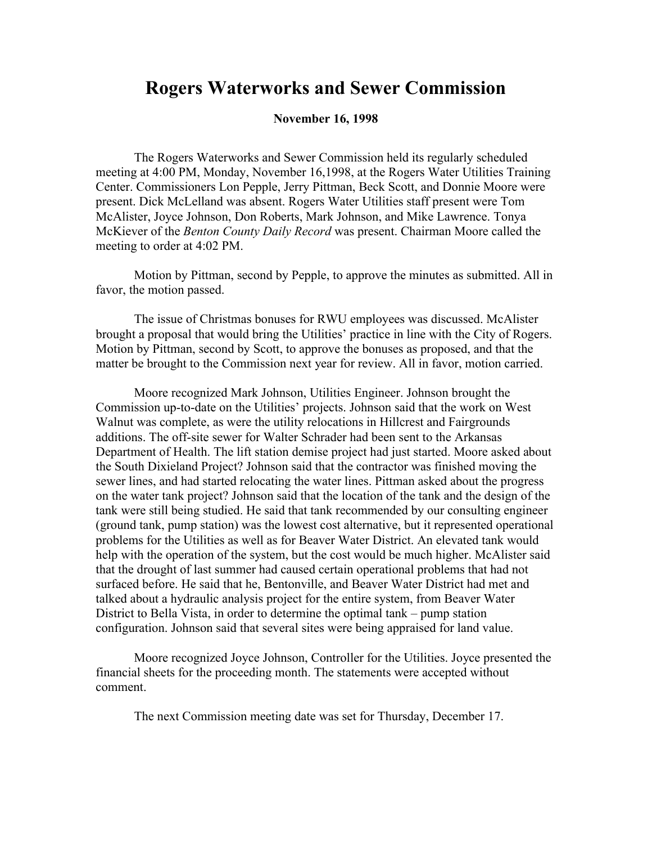## **Rogers Waterworks and Sewer Commission**

## **November 16, 1998**

The Rogers Waterworks and Sewer Commission held its regularly scheduled meeting at 4:00 PM, Monday, November 16,1998, at the Rogers Water Utilities Training Center. Commissioners Lon Pepple, Jerry Pittman, Beck Scott, and Donnie Moore were present. Dick McLelland was absent. Rogers Water Utilities staff present were Tom McAlister, Joyce Johnson, Don Roberts, Mark Johnson, and Mike Lawrence. Tonya McKiever of the *Benton County Daily Record* was present. Chairman Moore called the meeting to order at 4:02 PM.

Motion by Pittman, second by Pepple, to approve the minutes as submitted. All in favor, the motion passed.

The issue of Christmas bonuses for RWU employees was discussed. McAlister brought a proposal that would bring the Utilities' practice in line with the City of Rogers. Motion by Pittman, second by Scott, to approve the bonuses as proposed, and that the matter be brought to the Commission next year for review. All in favor, motion carried.

Moore recognized Mark Johnson, Utilities Engineer. Johnson brought the Commission up-to-date on the Utilities' projects. Johnson said that the work on West Walnut was complete, as were the utility relocations in Hillcrest and Fairgrounds additions. The off-site sewer for Walter Schrader had been sent to the Arkansas Department of Health. The lift station demise project had just started. Moore asked about the South Dixieland Project? Johnson said that the contractor was finished moving the sewer lines, and had started relocating the water lines. Pittman asked about the progress on the water tank project? Johnson said that the location of the tank and the design of the tank were still being studied. He said that tank recommended by our consulting engineer (ground tank, pump station) was the lowest cost alternative, but it represented operational problems for the Utilities as well as for Beaver Water District. An elevated tank would help with the operation of the system, but the cost would be much higher. McAlister said that the drought of last summer had caused certain operational problems that had not surfaced before. He said that he, Bentonville, and Beaver Water District had met and talked about a hydraulic analysis project for the entire system, from Beaver Water District to Bella Vista, in order to determine the optimal tank – pump station configuration. Johnson said that several sites were being appraised for land value.

Moore recognized Joyce Johnson, Controller for the Utilities. Joyce presented the financial sheets for the proceeding month. The statements were accepted without comment.

The next Commission meeting date was set for Thursday, December 17.